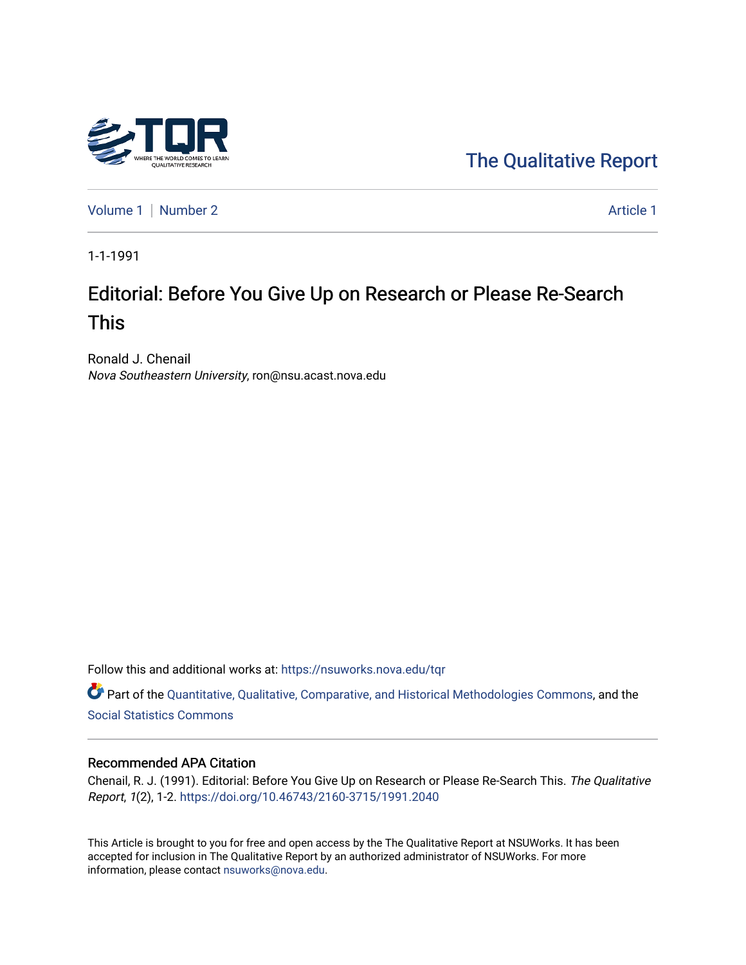

[The Qualitative Report](https://nsuworks.nova.edu/tqr) 

[Volume 1](https://nsuworks.nova.edu/tqr/vol1) | [Number 2](https://nsuworks.nova.edu/tqr/vol1/iss2) Article 1

1-1-1991

# Editorial: Before You Give Up on Research or Please Re-Search This

Ronald J. Chenail Nova Southeastern University, ron@nsu.acast.nova.edu

Follow this and additional works at: [https://nsuworks.nova.edu/tqr](https://nsuworks.nova.edu/tqr?utm_source=nsuworks.nova.edu%2Ftqr%2Fvol1%2Fiss2%2F1&utm_medium=PDF&utm_campaign=PDFCoverPages) 

Part of the [Quantitative, Qualitative, Comparative, and Historical Methodologies Commons,](http://network.bepress.com/hgg/discipline/423?utm_source=nsuworks.nova.edu%2Ftqr%2Fvol1%2Fiss2%2F1&utm_medium=PDF&utm_campaign=PDFCoverPages) and the [Social Statistics Commons](http://network.bepress.com/hgg/discipline/1275?utm_source=nsuworks.nova.edu%2Ftqr%2Fvol1%2Fiss2%2F1&utm_medium=PDF&utm_campaign=PDFCoverPages) 

#### Recommended APA Citation

Chenail, R. J. (1991). Editorial: Before You Give Up on Research or Please Re-Search This. The Qualitative Report, 1(2), 1-2. <https://doi.org/10.46743/2160-3715/1991.2040>

This Article is brought to you for free and open access by the The Qualitative Report at NSUWorks. It has been accepted for inclusion in The Qualitative Report by an authorized administrator of NSUWorks. For more information, please contact [nsuworks@nova.edu.](mailto:nsuworks@nova.edu)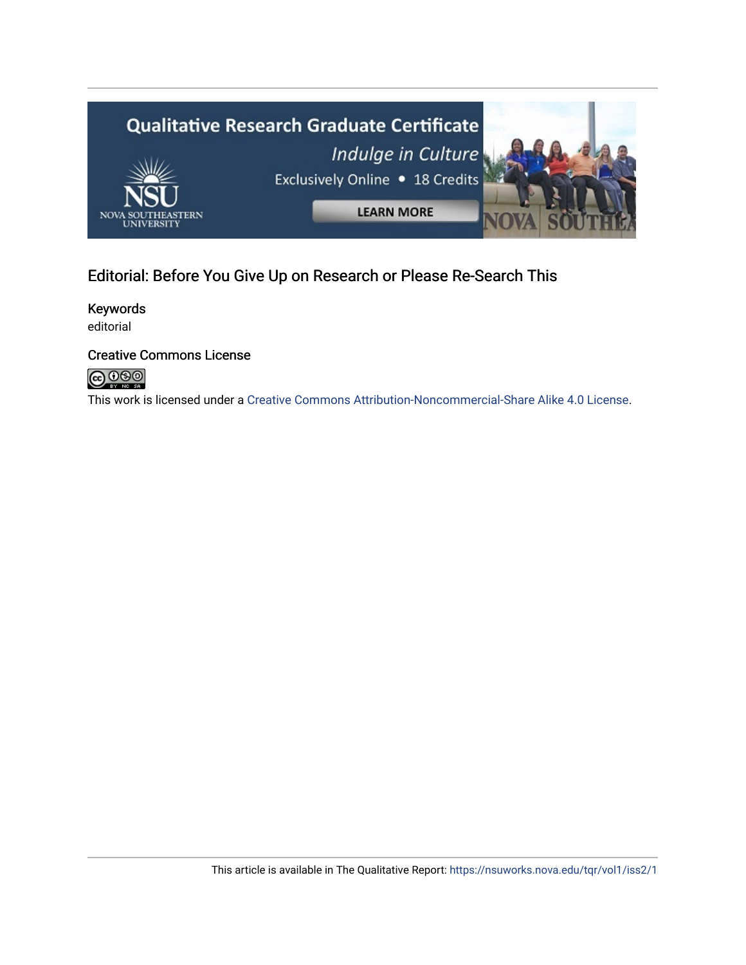

# Editorial: Before You Give Up on Research or Please Re-Search This

Keywords editorial

### Creative Commons License



This work is licensed under a [Creative Commons Attribution-Noncommercial-Share Alike 4.0 License](https://creativecommons.org/licenses/by-nc-sa/4.0/).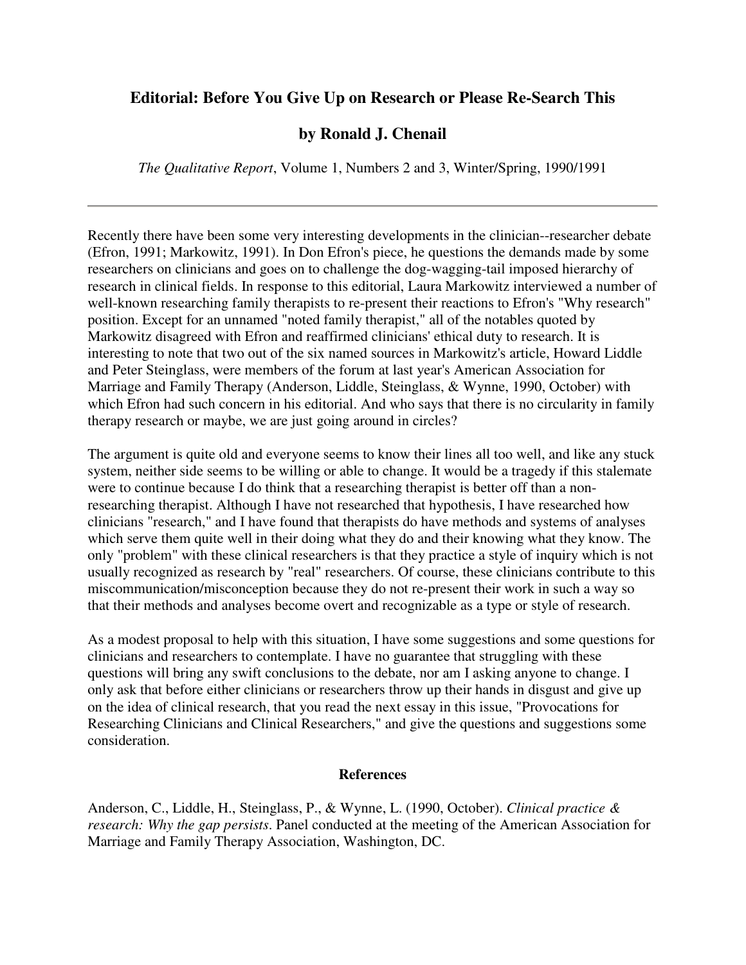## **Editorial: Before You Give Up on Research or Please Re-Search This**

### **by Ronald J. Chenail**

*The Qualitative Report*, Volume 1, Numbers 2 and 3, Winter/Spring, 1990/1991

Recently there have been some very interesting developments in the clinician--researcher debate (Efron, 1991; Markowitz, 1991). In Don Efron's piece, he questions the demands made by some researchers on clinicians and goes on to challenge the dog-wagging-tail imposed hierarchy of research in clinical fields. In response to this editorial, Laura Markowitz interviewed a number of well-known researching family therapists to re-present their reactions to Efron's "Why research" position. Except for an unnamed "noted family therapist," all of the notables quoted by Markowitz disagreed with Efron and reaffirmed clinicians' ethical duty to research. It is interesting to note that two out of the six named sources in Markowitz's article, Howard Liddle and Peter Steinglass, were members of the forum at last year's American Association for Marriage and Family Therapy (Anderson, Liddle, Steinglass, & Wynne, 1990, October) with which Efron had such concern in his editorial. And who says that there is no circularity in family therapy research or maybe, we are just going around in circles?

The argument is quite old and everyone seems to know their lines all too well, and like any stuck system, neither side seems to be willing or able to change. It would be a tragedy if this stalemate were to continue because I do think that a researching therapist is better off than a nonresearching therapist. Although I have not researched that hypothesis, I have researched how clinicians "research," and I have found that therapists do have methods and systems of analyses which serve them quite well in their doing what they do and their knowing what they know. The only "problem" with these clinical researchers is that they practice a style of inquiry which is not usually recognized as research by "real" researchers. Of course, these clinicians contribute to this miscommunication/misconception because they do not re-present their work in such a way so that their methods and analyses become overt and recognizable as a type or style of research.

As a modest proposal to help with this situation, I have some suggestions and some questions for clinicians and researchers to contemplate. I have no guarantee that struggling with these questions will bring any swift conclusions to the debate, nor am I asking anyone to change. I only ask that before either clinicians or researchers throw up their hands in disgust and give up on the idea of clinical research, that you read the next essay in this issue, "Provocations for Researching Clinicians and Clinical Researchers," and give the questions and suggestions some consideration.

#### **References**

Anderson, C., Liddle, H., Steinglass, P., & Wynne, L. (1990, October). *Clinical practice & research: Why the gap persists*. Panel conducted at the meeting of the American Association for Marriage and Family Therapy Association, Washington, DC.